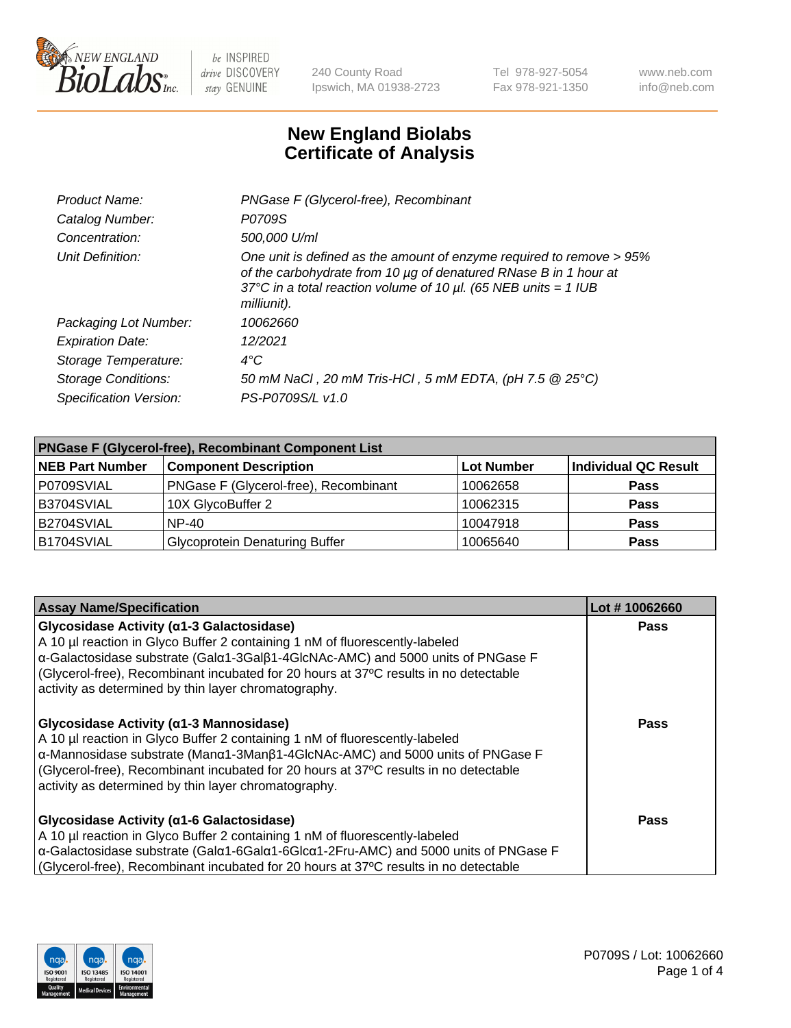

240 County Road Ipswich, MA 01938-2723 Tel 978-927-5054 Fax 978-921-1350 www.neb.com info@neb.com

## **New England Biolabs Certificate of Analysis**

| Product Name:              | PNGase F (Glycerol-free), Recombinant                                                                                                                                                                                           |
|----------------------------|---------------------------------------------------------------------------------------------------------------------------------------------------------------------------------------------------------------------------------|
| Catalog Number:            | P0709S                                                                                                                                                                                                                          |
| Concentration:             | 500,000 U/ml                                                                                                                                                                                                                    |
| Unit Definition:           | One unit is defined as the amount of enzyme required to remove > 95%<br>of the carbohydrate from 10 µg of denatured RNase B in 1 hour at<br>37°C in a total reaction volume of 10 $\mu$ l. (65 NEB units = 1 IUB<br>milliunit). |
| Packaging Lot Number:      | 10062660                                                                                                                                                                                                                        |
| <b>Expiration Date:</b>    | 12/2021                                                                                                                                                                                                                         |
| Storage Temperature:       | $4^{\circ}$ C                                                                                                                                                                                                                   |
| <b>Storage Conditions:</b> | 50 mM NaCl, 20 mM Tris-HCl, 5 mM EDTA, (pH 7.5 @ 25°C)                                                                                                                                                                          |
| Specification Version:     | PS-P0709S/L v1.0                                                                                                                                                                                                                |

| <b>PNGase F (Glycerol-free), Recombinant Component List</b> |                                       |                   |                      |  |
|-------------------------------------------------------------|---------------------------------------|-------------------|----------------------|--|
| <b>NEB Part Number</b>                                      | <b>Component Description</b>          | <b>Lot Number</b> | Individual QC Result |  |
| P0709SVIAL                                                  | PNGase F (Glycerol-free), Recombinant | 10062658          | <b>Pass</b>          |  |
| B3704SVIAL                                                  | 10X GlycoBuffer 2                     | 10062315          | <b>Pass</b>          |  |
| B2704SVIAL                                                  | $NP-40$                               | 10047918          | <b>Pass</b>          |  |
| B1704SVIAL                                                  | <b>Glycoprotein Denaturing Buffer</b> | 10065640          | <b>Pass</b>          |  |

| <b>Assay Name/Specification</b>                                                                                                                                                                                                                                                                                                                             | Lot #10062660 |
|-------------------------------------------------------------------------------------------------------------------------------------------------------------------------------------------------------------------------------------------------------------------------------------------------------------------------------------------------------------|---------------|
| Glycosidase Activity (α1-3 Galactosidase)<br>A 10 µl reaction in Glyco Buffer 2 containing 1 nM of fluorescently-labeled<br>α-Galactosidase substrate (Galα1-3Galβ1-4GlcNAc-AMC) and 5000 units of PNGase F<br>(Glycerol-free), Recombinant incubated for 20 hours at 37°C results in no detectable<br>activity as determined by thin layer chromatography. | <b>Pass</b>   |
| Glycosidase Activity (α1-3 Mannosidase)<br>A 10 µl reaction in Glyco Buffer 2 containing 1 nM of fluorescently-labeled<br>α-Mannosidase substrate (Manα1-3Manβ1-4GlcNAc-AMC) and 5000 units of PNGase F<br>(Glycerol-free), Recombinant incubated for 20 hours at 37°C results in no detectable<br>activity as determined by thin layer chromatography.     | Pass          |
| Glycosidase Activity (α1-6 Galactosidase)<br>A 10 µl reaction in Glyco Buffer 2 containing 1 nM of fluorescently-labeled<br>α-Galactosidase substrate (Galα1-6Galα1-6Glcα1-2Fru-AMC) and 5000 units of PNGase F<br>(Glycerol-free), Recombinant incubated for 20 hours at 37°C results in no detectable                                                     | Pass          |

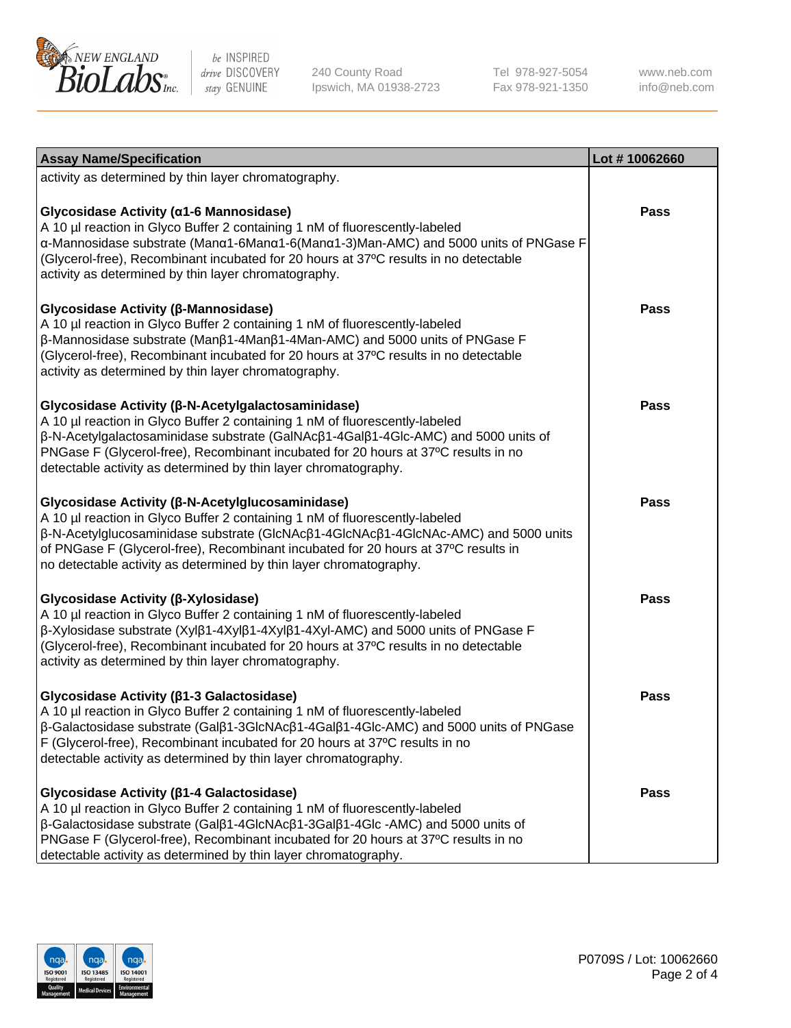

240 County Road Ipswich, MA 01938-2723 Tel 978-927-5054 Fax 978-921-1350

www.neb.com info@neb.com

| <b>Assay Name/Specification</b>                                                                                                                                                                                                                                                                                                                                                       | Lot #10062660 |
|---------------------------------------------------------------------------------------------------------------------------------------------------------------------------------------------------------------------------------------------------------------------------------------------------------------------------------------------------------------------------------------|---------------|
| activity as determined by thin layer chromatography.                                                                                                                                                                                                                                                                                                                                  |               |
| Glycosidase Activity (α1-6 Mannosidase)<br>A 10 µl reaction in Glyco Buffer 2 containing 1 nM of fluorescently-labeled<br>α-Mannosidase substrate (Μanα1-6Μanα1-6(Μanα1-3)Man-AMC) and 5000 units of PNGase F<br>(Glycerol-free), Recombinant incubated for 20 hours at 37°C results in no detectable<br>activity as determined by thin layer chromatography.                         | <b>Pass</b>   |
| Glycosidase Activity (β-Mannosidase)<br>A 10 µl reaction in Glyco Buffer 2 containing 1 nM of fluorescently-labeled<br>$\beta$ -Mannosidase substrate (Man $\beta$ 1-4Man $\beta$ 1-4Man-AMC) and 5000 units of PNGase F<br>(Glycerol-free), Recombinant incubated for 20 hours at 37°C results in no detectable<br>activity as determined by thin layer chromatography.              | <b>Pass</b>   |
| Glycosidase Activity (β-N-Acetylgalactosaminidase)<br>A 10 µl reaction in Glyco Buffer 2 containing 1 nM of fluorescently-labeled<br>β-N-Acetylgalactosaminidase substrate (GalNAcβ1-4Galβ1-4Glc-AMC) and 5000 units of<br>PNGase F (Glycerol-free), Recombinant incubated for 20 hours at 37°C results in no<br>detectable activity as determined by thin layer chromatography.      | <b>Pass</b>   |
| Glycosidase Activity (β-N-Acetylglucosaminidase)<br>A 10 µl reaction in Glyco Buffer 2 containing 1 nM of fluorescently-labeled<br>β-N-Acetylglucosaminidase substrate (GlcNAcβ1-4GlcNAcβ1-4GlcNAc-AMC) and 5000 units<br>of PNGase F (Glycerol-free), Recombinant incubated for 20 hours at 37°C results in<br>no detectable activity as determined by thin layer chromatography.    | <b>Pass</b>   |
| Glycosidase Activity (β-Xylosidase)<br>A 10 µl reaction in Glyco Buffer 2 containing 1 nM of fluorescently-labeled<br>$\beta$ -Xylosidase substrate (Xyl $\beta$ 1-4Xyl $\beta$ 1-4Xyl $\beta$ 1-4Xyl-AMC) and 5000 units of PNGase F<br>(Glycerol-free), Recombinant incubated for 20 hours at 37°C results in no detectable<br>activity as determined by thin layer chromatography. | <b>Pass</b>   |
| Glycosidase Activity (β1-3 Galactosidase)<br>A 10 µl reaction in Glyco Buffer 2 containing 1 nM of fluorescently-labeled<br>β-Galactosidase substrate (Galβ1-3GlcNAcβ1-4Galβ1-4Glc-AMC) and 5000 units of PNGase<br>F (Glycerol-free), Recombinant incubated for 20 hours at 37°C results in no<br>detectable activity as determined by thin layer chromatography.                    | <b>Pass</b>   |
| Glycosidase Activity ( $\beta$ 1-4 Galactosidase)<br>A 10 µl reaction in Glyco Buffer 2 containing 1 nM of fluorescently-labeled<br>β-Galactosidase substrate (Galβ1-4GlcNAcβ1-3Galβ1-4Glc -AMC) and 5000 units of<br>PNGase F (Glycerol-free), Recombinant incubated for 20 hours at 37°C results in no<br>detectable activity as determined by thin layer chromatography.           | <b>Pass</b>   |

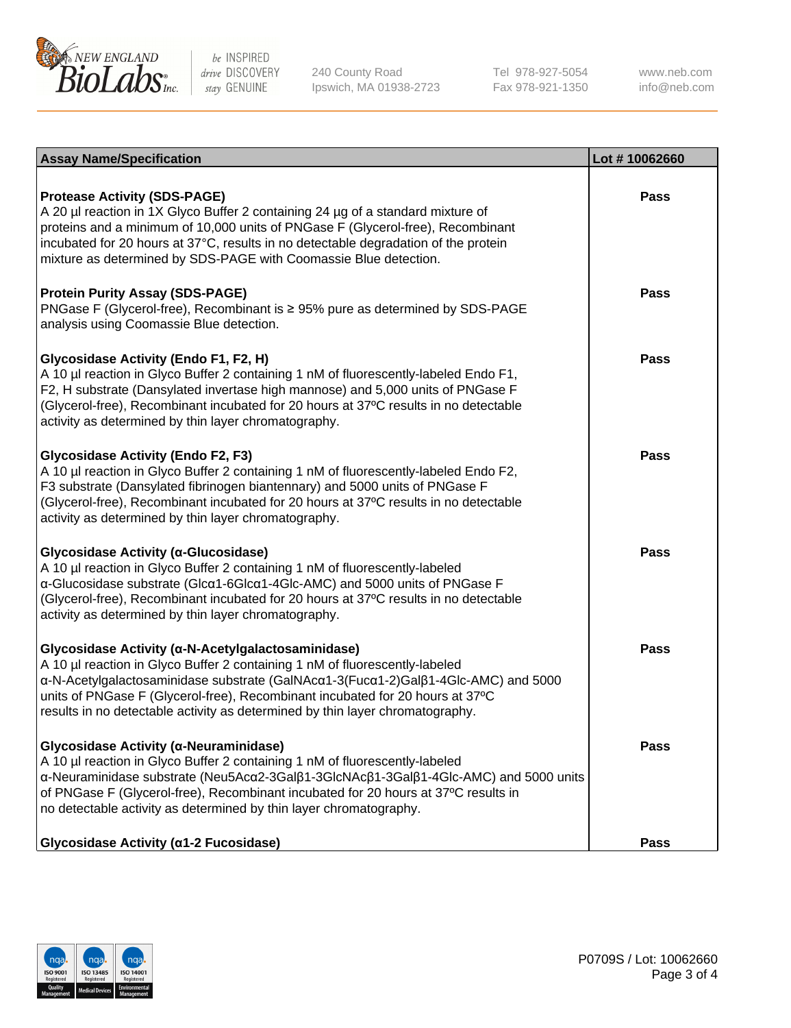

240 County Road Ipswich, MA 01938-2723 Tel 978-927-5054 Fax 978-921-1350 www.neb.com info@neb.com

| <b>Assay Name/Specification</b>                                                                                                                                                                                                                                                                                                                                                           | Lot #10062660 |
|-------------------------------------------------------------------------------------------------------------------------------------------------------------------------------------------------------------------------------------------------------------------------------------------------------------------------------------------------------------------------------------------|---------------|
| <b>Protease Activity (SDS-PAGE)</b><br>A 20 µl reaction in 1X Glyco Buffer 2 containing 24 µg of a standard mixture of<br>proteins and a minimum of 10,000 units of PNGase F (Glycerol-free), Recombinant<br>incubated for 20 hours at 37°C, results in no detectable degradation of the protein<br>mixture as determined by SDS-PAGE with Coomassie Blue detection.                      | Pass          |
| <b>Protein Purity Assay (SDS-PAGE)</b><br>PNGase F (Glycerol-free), Recombinant is ≥ 95% pure as determined by SDS-PAGE<br>analysis using Coomassie Blue detection.                                                                                                                                                                                                                       | <b>Pass</b>   |
| Glycosidase Activity (Endo F1, F2, H)<br>A 10 µl reaction in Glyco Buffer 2 containing 1 nM of fluorescently-labeled Endo F1,<br>F2, H substrate (Dansylated invertase high mannose) and 5,000 units of PNGase F<br>(Glycerol-free), Recombinant incubated for 20 hours at 37°C results in no detectable<br>activity as determined by thin layer chromatography.                          | Pass          |
| <b>Glycosidase Activity (Endo F2, F3)</b><br>A 10 µl reaction in Glyco Buffer 2 containing 1 nM of fluorescently-labeled Endo F2,<br>F3 substrate (Dansylated fibrinogen biantennary) and 5000 units of PNGase F<br>(Glycerol-free), Recombinant incubated for 20 hours at 37°C results in no detectable<br>activity as determined by thin layer chromatography.                          | Pass          |
| Glycosidase Activity (α-Glucosidase)<br>A 10 µl reaction in Glyco Buffer 2 containing 1 nM of fluorescently-labeled<br>α-Glucosidase substrate (Glcα1-6Glcα1-4Glc-AMC) and 5000 units of PNGase F<br>(Glycerol-free), Recombinant incubated for 20 hours at 37°C results in no detectable<br>activity as determined by thin layer chromatography.                                         | <b>Pass</b>   |
| Glycosidase Activity (α-N-Acetylgalactosaminidase)<br>A 10 µl reaction in Glyco Buffer 2 containing 1 nM of fluorescently-labeled<br>α-N-Acetylgalactosaminidase substrate (GalNAcα1-3(Fucα1-2)Galβ1-4Glc-AMC) and 5000<br>units of PNGase F (Glycerol-free), Recombinant incubated for 20 hours at 37°C<br>results in no detectable activity as determined by thin layer chromatography. | Pass          |
| Glycosidase Activity (α-Neuraminidase)<br>A 10 µl reaction in Glyco Buffer 2 containing 1 nM of fluorescently-labeled<br>α-Neuraminidase substrate (Neu5Acα2-3Galβ1-3GlcNAcβ1-3Galβ1-4Glc-AMC) and 5000 units<br>of PNGase F (Glycerol-free), Recombinant incubated for 20 hours at 37°C results in<br>no detectable activity as determined by thin layer chromatography.                 | Pass          |
| Glycosidase Activity (α1-2 Fucosidase)                                                                                                                                                                                                                                                                                                                                                    | Pass          |